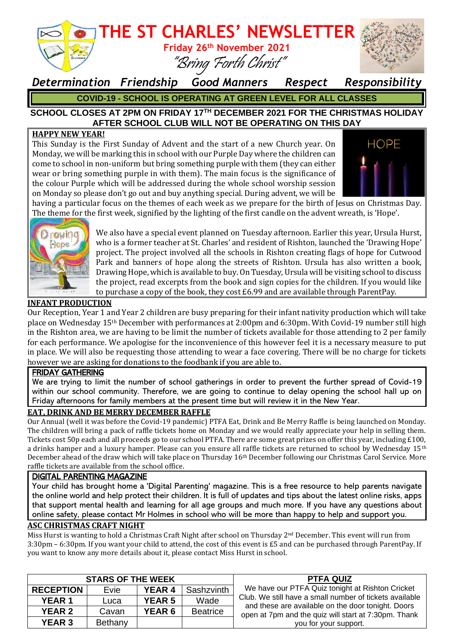

*Determination Friendship Good Manners Respect Responsibility* **COVID-19 - SCHOOL IS OPERATING AT GREEN LEVEL FOR ALL CLASSES**

#### **SCHOOL CLOSES AT 2PM ON FRIDAY 17TH DECEMBER 2021 FOR THE CHRISTMAS HOLIDAY AFTER SCHOOL CLUB WILL NOT BE OPERATING ON THIS DAY**

#### **HAPPY NEW YEAR!**

This Sunday is the First Sunday of Advent and the start of a new Church year. On Monday, we will be marking this in school with our Purple Day where the children can come to school in non-uniform but bring something purple with them (they can either wear or bring something purple in with them). The main focus is the significance of the colour Purple which will be addressed during the whole school worship session on Monday so please don't go out and buy anything special. During advent, we will be



having a particular focus on the themes of each week as we prepare for the birth of Jesus on Christmas Day. The theme for the first week, signified by the lighting of the first candle on the advent wreath, is 'Hope'.



We also have a special event planned on Tuesday afternoon. Earlier this year, Ursula Hurst, who is a former teacher at St. Charles' and resident of Rishton, launched the 'Drawing Hope' project. The project involved all the schools in Rishton creating flags of hope for Cutwood Park and banners of hope along the streets of Rishton. Ursula has also written a book, Drawing Hope, which is available to buy. On Tuesday, Ursula will be visiting school to discuss the project, read excerpts from the book and sign copies for the children. If you would like to purchase a copy of the book, they cost £6.99 and are available through ParentPay.

#### **INFANT PRODUCTION**

Our Reception, Year 1 and Year 2 children are busy preparing for their infant nativity production which will take place on Wednesday 15th December with performances at 2:00pm and 6:30pm. With Covid-19 number still high in the Rishton area, we are having to be limit the number of tickets available for those attending to 2 per family for each performance. We apologise for the inconvenience of this however feel it is a necessary measure to put in place. We will also be requesting those attending to wear a face covering. There will be no charge for tickets however we are asking for donations to the foodbank if you are able to.

#### FRIDAY GATHERING

We are trying to limit the number of school gatherings in order to prevent the further spread of Covid-19 within our school community. Therefore, we are going to continue to delay opening the school hall up on Friday afternoons for family members at the present time but will review it in the New Year.

#### **EAT, DRINK AND BE MERRY DECEMBER RAFFLE**

Our Annual (well it was before the Covid-19 pandemic) PTFA Eat, Drink and Be Merry Raffle is being launched on Monday. The children will bring a pack of raffle tickets home on Monday and we would really appreciate your help in selling them. Tickets cost 50p each and all proceeds go to our school PTFA. There are some great prizes on offer this year, including £100, a drinks hamper and a luxury hamper. Please can you ensure all raffle tickets are returned to school by Wednesday 15<sup>th</sup> December ahead of the draw which will take place on Thursday 16th December following our Christmas Carol Service. More raffle tickets are available from the school office.

#### DIGITAL PARENTING MAGAZINE

Your child has brought home a 'Digital Parenting' magazine. This is a free resource to help parents navigate the online world and help protect their children. It is full of updates and tips about the latest online risks, apps that support mental health and learning for all age groups and much more. If you have any questions about online safety, please contact Mr Holmes in school who will be more than happy to help and support you.

#### **ASC CHRISTMAS CRAFT NIGHT**

Miss Hurst is wanting to hold a Christmas Craft Night after school on Thursday 2<sup>nd</sup> December. This event will run from 3:30pm – 6:30pm. If you want your child to attend, the cost of this event is £5 and can be purchased through ParentPay. If you want to know any more details about it, please contact Miss Hurst in school.

| <b>STARS OF THE WEEK</b> |         |               |                 | <b>PTFA QUIZ</b>                                                                                                                                                                                                                                   |
|--------------------------|---------|---------------|-----------------|----------------------------------------------------------------------------------------------------------------------------------------------------------------------------------------------------------------------------------------------------|
| <b>RECEPTION</b>         | Evie    | <b>YEAR 4</b> | Sashzvinth      | We have our PTFA Quiz tonight at Rishton Cricket<br>Club. We still have a small number of tickets available<br>and these are available on the door tonight. Doors<br>open at 7pm and the quiz will start at 7:30pm. Thank<br>you for your support. |
| <b>YEAR 1</b>            | Luca    | <b>YEAR 5</b> | Wade            |                                                                                                                                                                                                                                                    |
| <b>YEAR 2</b>            | Cavan   | <b>YEAR 6</b> | <b>Beatrice</b> |                                                                                                                                                                                                                                                    |
| <b>YEAR 3</b>            | Bethany |               |                 |                                                                                                                                                                                                                                                    |